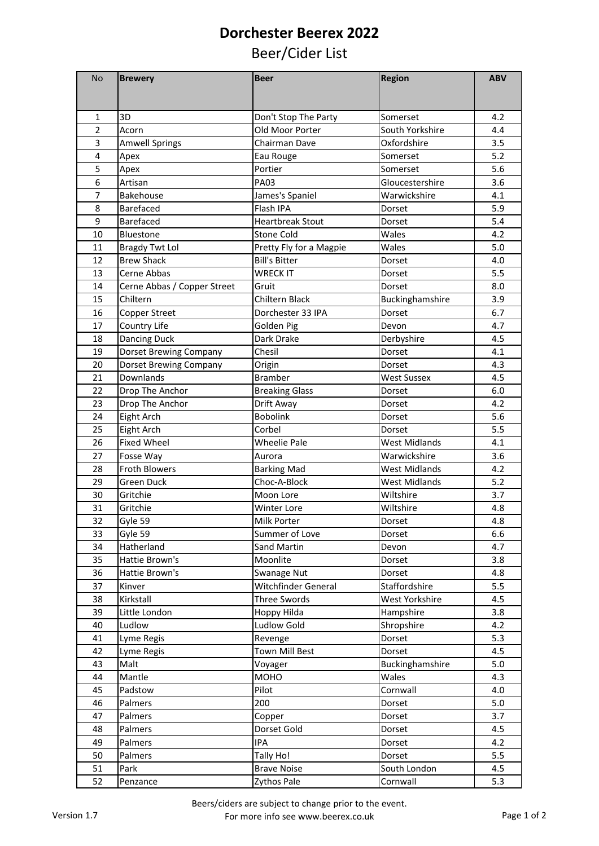## **Dorchester Beerex 2022**

## Beer/Cider List

| No             | <b>Brewery</b>              | <b>Beer</b>             | <b>Region</b>        | <b>ABV</b> |
|----------------|-----------------------------|-------------------------|----------------------|------------|
|                |                             |                         |                      |            |
| 1              | 3D                          | Don't Stop The Party    | Somerset             | 4.2        |
| $\overline{2}$ | Acorn                       | Old Moor Porter         | South Yorkshire      | 4.4        |
| 3              | <b>Amwell Springs</b>       | Chairman Dave           | Oxfordshire          | 3.5        |
| 4              | Apex                        | Eau Rouge               | Somerset             | 5.2        |
| 5              | Apex                        | Portier                 | Somerset             | 5.6        |
| 6              | Artisan                     | <b>PA03</b>             | Gloucestershire      | 3.6        |
| 7              | Bakehouse                   | James's Spaniel         | Warwickshire         | 4.1        |
| 8              | <b>Barefaced</b>            | Flash IPA               | Dorset               | 5.9        |
| 9              | Barefaced                   | <b>Heartbreak Stout</b> | Dorset               | 5.4        |
| 10             | Bluestone                   | Stone Cold              | Wales                | 4.2        |
| 11             | <b>Bragdy Twt Lol</b>       | Pretty Fly for a Magpie | Wales                | 5.0        |
| 12             | <b>Brew Shack</b>           | <b>Bill's Bitter</b>    | Dorset               | 4.0        |
| 13             | Cerne Abbas                 | <b>WRECK IT</b>         | Dorset               | 5.5        |
| 14             | Cerne Abbas / Copper Street | Gruit                   | Dorset               | 8.0        |
| 15             | Chiltern                    | Chiltern Black          | Buckinghamshire      | 3.9        |
| 16             | Copper Street               | Dorchester 33 IPA       | Dorset               | 6.7        |
| 17             | Country Life                | Golden Pig              | Devon                | 4.7        |
| 18             | <b>Dancing Duck</b>         | Dark Drake              | Derbyshire           | 4.5        |
| 19             | Dorset Brewing Company      | Chesil                  | Dorset               | 4.1        |
| 20             | Dorset Brewing Company      | Origin                  | Dorset               | 4.3        |
| 21             | Downlands                   | <b>Bramber</b>          | <b>West Sussex</b>   | 4.5        |
| 22             | Drop The Anchor             | <b>Breaking Glass</b>   | Dorset               | 6.0        |
| 23             | Drop The Anchor             | Drift Away              | Dorset               | 4.2        |
| 24             | Eight Arch                  | <b>Bobolink</b>         | Dorset               | 5.6        |
| 25             | Eight Arch                  | Corbel                  | Dorset               | 5.5        |
| 26             | <b>Fixed Wheel</b>          | <b>Wheelie Pale</b>     | <b>West Midlands</b> | 4.1        |
| 27             | Fosse Way                   | Aurora                  | Warwickshire         | 3.6        |
| 28             | <b>Froth Blowers</b>        | <b>Barking Mad</b>      | <b>West Midlands</b> | 4.2        |
| 29             | Green Duck                  | Choc-A-Block            | <b>West Midlands</b> | 5.2        |
| 30             | Gritchie                    | Moon Lore               | Wiltshire            | 3.7        |
| 31             | Gritchie                    | <b>Winter Lore</b>      | Wiltshire            | 4.8        |
| 32             | Gyle 59                     | Milk Porter             | Dorset               | 4.8        |
| 33             | Gyle 59                     | Summer of Love          | Dorset               | 6.6        |
| 34             | Hatherland                  | Sand Martin             | Devon                | 4.7        |
| 35             | Hattie Brown's              | Moonlite                | Dorset               | 3.8        |
| 36             | Hattie Brown's              | Swanage Nut             | Dorset               | 4.8        |
| 37             | Kinver                      | Witchfinder General     | Staffordshire        | 5.5        |
| 38             | Kirkstall                   | <b>Three Swords</b>     | West Yorkshire       | 4.5        |
| 39             | Little London               | Hoppy Hilda             | Hampshire            | 3.8        |
| 40             | Ludlow                      | Ludlow Gold             | Shropshire           | 4.2        |
| 41             | Lyme Regis                  | Revenge                 | Dorset               | 5.3        |
| 42             | Lyme Regis                  | <b>Town Mill Best</b>   | Dorset               | 4.5        |
| 43             | Malt                        | Voyager                 | Buckinghamshire      | 5.0        |
| 44             | Mantle                      | MOHO                    | Wales                | 4.3        |
| 45             | Padstow                     | Pilot                   | Cornwall             | 4.0        |
| 46             | Palmers                     | 200                     | Dorset               | 5.0        |
| 47             | Palmers                     | Copper                  | Dorset               | 3.7        |
| 48             | Palmers                     | Dorset Gold             | Dorset               | 4.5        |
| 49             | Palmers                     | IPA                     | Dorset               | 4.2        |
| 50             | Palmers                     | Tally Ho!               | Dorset               | 5.5        |
| 51             | Park                        | <b>Brave Noise</b>      | South London         | 4.5<br>5.3 |
| 52             | Penzance                    | Zythos Pale             | Cornwall             |            |